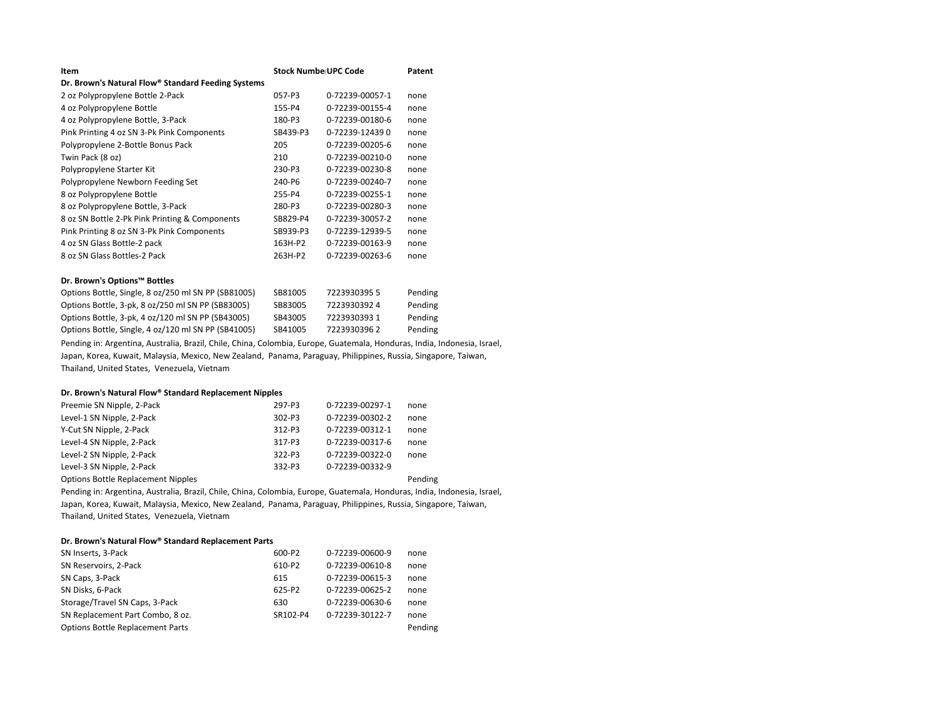| Item                                                                                                                                                                                                                                 | <b>Stock Numbe UPC Code</b> |                 | Patent  |
|--------------------------------------------------------------------------------------------------------------------------------------------------------------------------------------------------------------------------------------|-----------------------------|-----------------|---------|
| Dr. Brown's Natural Flow® Standard Feeding Systems                                                                                                                                                                                   |                             |                 |         |
| 2 oz Polypropylene Bottle 2-Pack                                                                                                                                                                                                     | 057-P3                      | 0-72239-00057-1 | none    |
| 4 oz Polypropylene Bottle                                                                                                                                                                                                            | 155-P4                      | 0-72239-00155-4 | none    |
| 4 oz Polypropylene Bottle, 3-Pack                                                                                                                                                                                                    | 180-P3                      | 0-72239-00180-6 | none    |
| Pink Printing 4 oz SN 3-Pk Pink Components                                                                                                                                                                                           | SB439-P3                    | 0-72239-124390  | none    |
| Polypropylene 2-Bottle Bonus Pack                                                                                                                                                                                                    | 205                         | 0-72239-00205-6 | none    |
| Twin Pack (8 oz)                                                                                                                                                                                                                     | 210                         | 0-72239-00210-0 | none    |
| Polypropylene Starter Kit                                                                                                                                                                                                            | 230-P3                      | 0-72239-00230-8 | none    |
| Polypropylene Newborn Feeding Set                                                                                                                                                                                                    | 240-P6                      | 0-72239-00240-7 | none    |
| 8 oz Polypropylene Bottle                                                                                                                                                                                                            | 255-P4                      | 0-72239-00255-1 | none    |
| 8 oz Polypropylene Bottle, 3-Pack                                                                                                                                                                                                    | 280-P3                      | 0-72239-00280-3 | none    |
| 8 oz SN Bottle 2-Pk Pink Printing & Components                                                                                                                                                                                       | SB829-P4                    | 0-72239-30057-2 | none    |
| Pink Printing 8 oz SN 3-Pk Pink Components                                                                                                                                                                                           | SB939-P3                    | 0-72239-12939-5 | none    |
| 4 oz SN Glass Bottle-2 pack                                                                                                                                                                                                          | 163H-P2                     | 0-72239-00163-9 | none    |
| 8 oz SN Glass Bottles-2 Pack                                                                                                                                                                                                         | 263H-P2                     | 0-72239-00263-6 | none    |
| Dr. Brown's Options™ Bottles                                                                                                                                                                                                         |                             |                 |         |
| Options Bottle, Single, 8 oz/250 ml SN PP (SB81005)                                                                                                                                                                                  | SB81005                     | 72239303955     | Pending |
| Options Bottle, 3-pk, 8 oz/250 ml SN PP (SB83005)                                                                                                                                                                                    | SB83005                     | 72239303924     | Pending |
| Options Bottle, 3-pk, 4 oz/120 ml SN PP (SB43005)                                                                                                                                                                                    | SB43005                     | 72239303931     | Pending |
| Options Bottle, Single, 4 oz/120 ml SN PP (SB41005)                                                                                                                                                                                  | SB41005                     | 72239303962     | Pending |
| <b>Printing the State of the County of the County of the County of the County of the County of the County of the County of the County of the County of the County of the County of the County of the County of the County of the</b> |                             |                 |         |

Pending in: Argentina, Australia, Brazil, Chile, China, Colombia, Europe, Guatemala, Honduras, India, Indonesia, Israel, Japan, Korea, Kuwait, Malaysia, Mexico, New Zealand, Panama, Paraguay, Philippines, Russia, Singapore, Taiwan, Thailand, United States, Venezuela, Vietnam

## Dr. Brown's Natural Flow<sup>®</sup> Standard Replacement Nipples

| Preemie SN Nipple, 2-Pack | 297-P3   | 0-72239-00297-1 | none |
|---------------------------|----------|-----------------|------|
| Level-1 SN Nipple, 2-Pack | $302-P3$ | 0-72239-00302-2 | none |
| Y-Cut SN Nipple, 2-Pack   | 312-P3   | 0-72239-00312-1 | none |
| Level-4 SN Nipple, 2-Pack | 317-P3   | 0-72239-00317-6 | none |
| Level-2 SN Nipple, 2-Pack | 322-P3   | 0-72239-00322-0 | none |
| Level-3 SN Nipple, 2-Pack | 332-P3   | 0-72239-00332-9 |      |
|                           |          |                 |      |

Options Bottle Replacement Nipples **Pending** Pending

Pending in: Argentina, Australia, Brazil, Chile, China, Colombia, Europe, Guatemala, Honduras, India, Indonesia, Israel, Japan, Korea, Kuwait, Malaysia, Mexico, New Zealand, Panama, Paraguay, Philippines, Russia, Singapore, Taiwan, Thailand, United States, Venezuela, Vietnam

## Dr. Brown's Natural Flow<sup>®</sup> Standard Replacement Parts

| SN Inserts, 3-Pack                      | 600-P2   | 0-72239-00600-9 | none    |
|-----------------------------------------|----------|-----------------|---------|
| SN Reservoirs, 2-Pack                   | 610-P2   | 0-72239-00610-8 | none    |
| SN Caps, 3-Pack                         | 615      | 0-72239-00615-3 | none    |
| SN Disks, 6-Pack                        | 625-P2   | 0-72239-00625-2 | none    |
| Storage/Travel SN Caps, 3-Pack          | 630      | 0-72239-00630-6 | none    |
| SN Replacement Part Combo, 8 oz.        | SR102-P4 | 0-72239-30122-7 | none    |
| <b>Options Bottle Replacement Parts</b> |          |                 | Pending |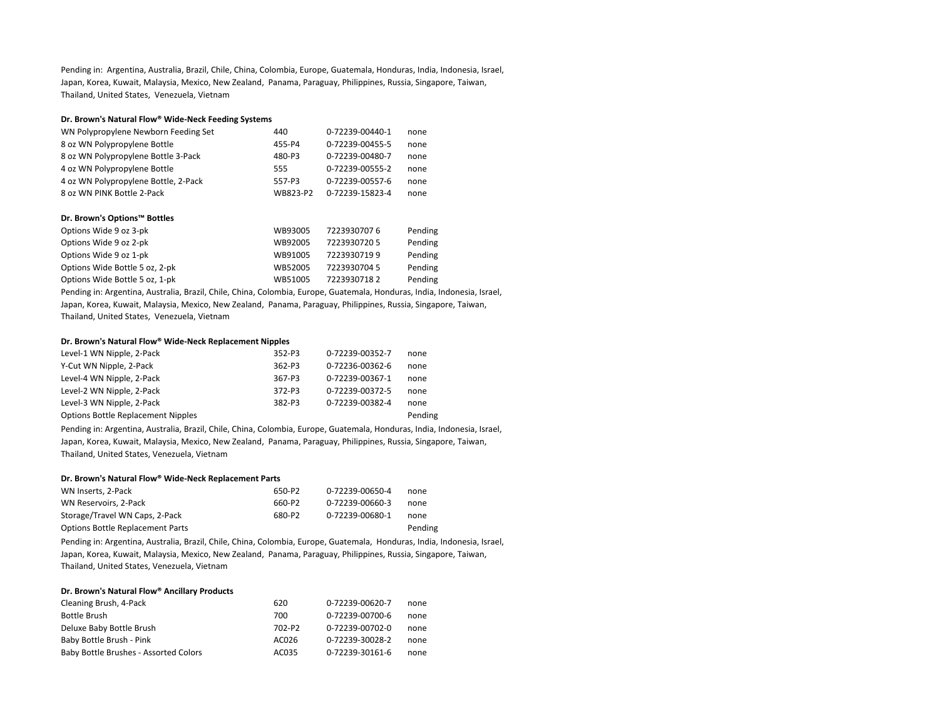Pending in: Argentina, Australia, Brazil, Chile, China, Colombia, Europe, Guatemala, Honduras, India, Indonesia, Israel, Japan, Korea, Kuwait, Malaysia, Mexico, New Zealand, Panama, Paraguay, Philippines, Russia, Singapore, Taiwan, Thailand, United States, Venezuela, Vietnam

## Dr. Brown's Natural Flow<sup>®</sup> Wide-Neck Feeding Systems

| WN Polypropylene Newborn Feeding Set | 440      | 0-72239-00440-1 | none |
|--------------------------------------|----------|-----------------|------|
| 8 oz WN Polypropylene Bottle         | 455-P4   | 0-72239-00455-5 | none |
| 8 oz WN Polypropylene Bottle 3-Pack  | 480-P3   | 0-72239-00480-7 | none |
| 4 oz WN Polypropylene Bottle         | 555      | 0-72239-00555-2 | none |
| 4 oz WN Polypropylene Bottle, 2-Pack | 557-P3   | 0-72239-00557-6 | none |
| 8 oz WN PINK Bottle 2-Pack           | WB823-P2 | 0-72239-15823-4 | none |

### **Dr. Brown's Options™ Bottles**

| Options Wide 9 oz 3-pk         | WB93005 | 72239307076  | Pending |
|--------------------------------|---------|--------------|---------|
| Options Wide 9 oz 2-pk         | WB92005 | 72239307205  | Pending |
| Options Wide 9 oz 1-pk         | WB91005 | 72239307199  | Pending |
| Options Wide Bottle 5 oz, 2-pk | WB52005 | 7223930704 5 | Pending |
| Options Wide Bottle 5 oz, 1-pk | WB51005 | 72239307182  | Pending |

Pending in: Argentina, Australia, Brazil, Chile, China, Colombia, Europe, Guatemala, Honduras, India, Indonesia, Israel, Japan, Korea, Kuwait, Malaysia, Mexico, New Zealand, Panama, Paraguay, Philippines, Russia, Singapore, Taiwan, Thailand, United States, Venezuela, Vietnam

### **Dr. Brown's Natural Flow® Wide-Neck Replacement Nipples**

| Level-1 WN Nipple, 2-Pack                 | 352-P3   | 0-72239-00352-7 | none    |
|-------------------------------------------|----------|-----------------|---------|
| Y-Cut WN Nipple, 2-Pack                   | $362-P3$ | 0-72236-00362-6 | none    |
| Level-4 WN Nipple, 2-Pack                 | 367-P3   | 0-72239-00367-1 | none    |
| Level-2 WN Nipple, 2-Pack                 | 372-P3   | 0-72239-00372-5 | none    |
| Level-3 WN Nipple, 2-Pack                 | 382-P3   | 0-72239-00382-4 | none    |
| <b>Options Bottle Replacement Nipples</b> |          |                 | Pending |

Pending in: Argentina, Australia, Brazil, Chile, China, Colombia, Europe, Guatemala, Honduras, India, Indonesia, Israel, Japan, Korea, Kuwait, Malaysia, Mexico, New Zealand, Panama, Paraguay, Philippines, Russia, Singapore, Taiwan, Thailand, United States, Venezuela, Vietnam

#### Dr. Brown's Natural Flow<sup>®</sup> Wide-Neck Replacement Parts

| WN Inserts, 2-Pack                      | 650-P2 | 0-72239-00650-4 | none    |
|-----------------------------------------|--------|-----------------|---------|
| WN Reservoirs, 2-Pack                   | 660-P2 | 0-72239-00660-3 | none    |
| Storage/Travel WN Caps, 2-Pack          | 680-P2 | 0-72239-00680-1 | none    |
| <b>Options Bottle Replacement Parts</b> |        |                 | Pending |

Pending in: Argentina, Australia, Brazil, Chile, China, Colombia, Europe, Guatemala, Honduras, India, Indonesia, Israel, Japan, Korea, Kuwait, Malaysia, Mexico, New Zealand, Panama, Paraguay, Philippines, Russia, Singapore, Taiwan, Thailand, United States, Venezuela, Vietnam

### **Dr. Brown's Natural Flow® Ancillary Products**

| Cleaning Brush, 4-Pack                | 620    | 0-72239-00620-7 | none |
|---------------------------------------|--------|-----------------|------|
| Bottle Brush                          | 700    | 0-72239-00700-6 | none |
| Deluxe Baby Bottle Brush              | 702-P2 | 0-72239-00702-0 | none |
| Baby Bottle Brush - Pink              | AC026  | 0-72239-30028-2 | none |
| Baby Bottle Brushes - Assorted Colors | AC035  | 0-72239-30161-6 | none |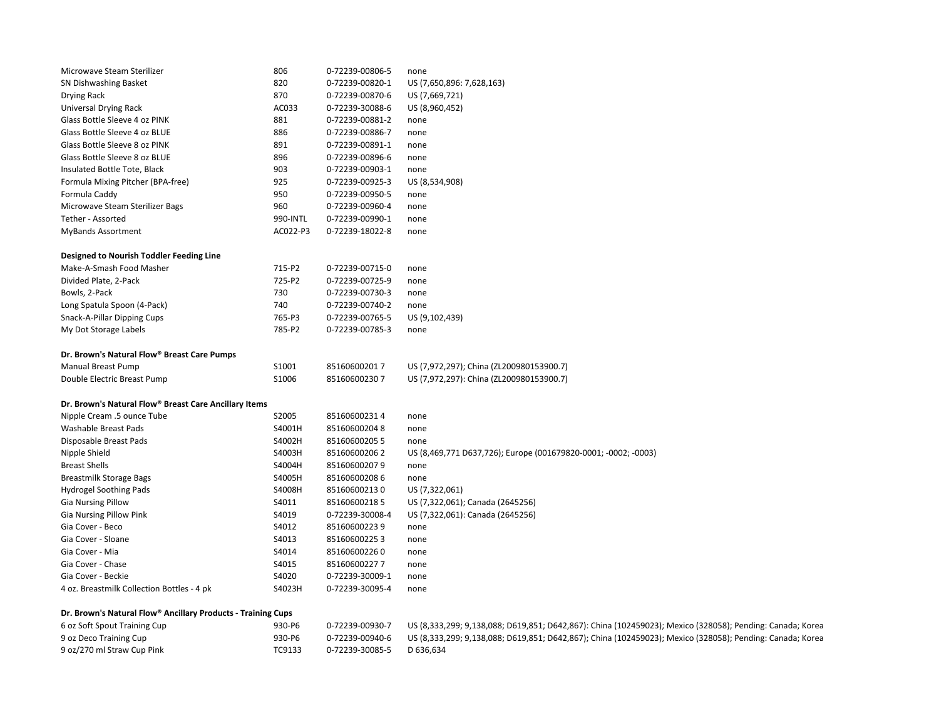| Microwave Steam Sterilizer                                   | 806      | 0-72239-00806-5 | none                                                                                                      |
|--------------------------------------------------------------|----------|-----------------|-----------------------------------------------------------------------------------------------------------|
| SN Dishwashing Basket                                        | 820      | 0-72239-00820-1 | US (7,650,896: 7,628,163)                                                                                 |
| Drying Rack                                                  | 870      | 0-72239-00870-6 | US (7,669,721)                                                                                            |
| Universal Drying Rack                                        | AC033    | 0-72239-30088-6 | US (8,960,452)                                                                                            |
| Glass Bottle Sleeve 4 oz PINK                                | 881      | 0-72239-00881-2 | none                                                                                                      |
| Glass Bottle Sleeve 4 oz BLUE                                | 886      | 0-72239-00886-7 | none                                                                                                      |
| Glass Bottle Sleeve 8 oz PINK                                | 891      | 0-72239-00891-1 | none                                                                                                      |
| Glass Bottle Sleeve 8 oz BLUE                                | 896      | 0-72239-00896-6 | none                                                                                                      |
| Insulated Bottle Tote, Black                                 | 903      | 0-72239-00903-1 | none                                                                                                      |
| Formula Mixing Pitcher (BPA-free)                            | 925      | 0-72239-00925-3 | US (8,534,908)                                                                                            |
| Formula Caddy                                                | 950      | 0-72239-00950-5 | none                                                                                                      |
| Microwave Steam Sterilizer Bags                              | 960      | 0-72239-00960-4 | none                                                                                                      |
| Tether - Assorted                                            | 990-INTL | 0-72239-00990-1 | none                                                                                                      |
| <b>MyBands Assortment</b>                                    | AC022-P3 | 0-72239-18022-8 | none                                                                                                      |
|                                                              |          |                 |                                                                                                           |
| <b>Designed to Nourish Toddler Feeding Line</b>              |          |                 |                                                                                                           |
| Make-A-Smash Food Masher                                     | 715-P2   | 0-72239-00715-0 | none                                                                                                      |
| Divided Plate, 2-Pack                                        | 725-P2   | 0-72239-00725-9 | none                                                                                                      |
| Bowls, 2-Pack                                                | 730      | 0-72239-00730-3 | none                                                                                                      |
| Long Spatula Spoon (4-Pack)                                  | 740      | 0-72239-00740-2 | none                                                                                                      |
| Snack-A-Pillar Dipping Cups                                  | 765-P3   | 0-72239-00765-5 | US (9,102,439)                                                                                            |
| My Dot Storage Labels                                        | 785-P2   | 0-72239-00785-3 | none                                                                                                      |
|                                                              |          |                 |                                                                                                           |
| Dr. Brown's Natural Flow® Breast Care Pumps                  |          |                 |                                                                                                           |
| <b>Manual Breast Pump</b>                                    | S1001    | 851606002017    | US (7,972,297); China (ZL200980153900.7)                                                                  |
| Double Electric Breast Pump                                  | S1006    | 851606002307    | US (7,972,297): China (ZL200980153900.7)                                                                  |
|                                                              |          |                 |                                                                                                           |
| Dr. Brown's Natural Flow® Breast Care Ancillary Items        |          |                 |                                                                                                           |
| Nipple Cream .5 ounce Tube                                   | S2005    | 851606002314    | none                                                                                                      |
| Washable Breast Pads                                         | S4001H   | 851606002048    | none                                                                                                      |
| Disposable Breast Pads                                       | S4002H   | 851606002055    | none                                                                                                      |
| Nipple Shield                                                | S4003H   | 851606002062    | US (8,469,771 D637,726); Europe (001679820-0001; -0002; -0003)                                            |
| <b>Breast Shells</b>                                         | S4004H   | 851606002079    | none                                                                                                      |
| Breastmilk Storage Bags                                      | S4005H   | 851606002086    | none                                                                                                      |
| <b>Hydrogel Soothing Pads</b>                                | S4008H   | 851606002130    | US (7,322,061)                                                                                            |
| <b>Gia Nursing Pillow</b>                                    | S4011    | 851606002185    | US (7,322,061); Canada (2645256)                                                                          |
| <b>Gia Nursing Pillow Pink</b>                               | S4019    | 0-72239-30008-4 | US (7,322,061): Canada (2645256)                                                                          |
| Gia Cover - Beco                                             | S4012    | 851606002239    | none                                                                                                      |
| Gia Cover - Sloane                                           | S4013    | 851606002253    | none                                                                                                      |
| Gia Cover - Mia                                              | S4014    | 851606002260    | none                                                                                                      |
| Gia Cover - Chase                                            | S4015    | 851606002277    | none                                                                                                      |
| Gia Cover - Beckie                                           | S4020    | 0-72239-30009-1 | none                                                                                                      |
| 4 oz. Breastmilk Collection Bottles - 4 pk                   | S4023H   | 0-72239-30095-4 | none                                                                                                      |
|                                                              |          |                 |                                                                                                           |
| Dr. Brown's Natural Flow® Ancillary Products - Training Cups |          |                 |                                                                                                           |
| 6 oz Soft Spout Training Cup                                 | 930-P6   | 0-72239-00930-7 | US (8,333,299; 9,138,088; D619,851; D642,867): China (102459023); Mexico (328058); Pending: Canada; Korea |
| 9 oz Deco Training Cup                                       | 930-P6   | 0-72239-00940-6 | US (8,333,299; 9,138,088; D619,851; D642,867); China (102459023); Mexico (328058); Pending: Canada; Korea |
| 9 oz/270 ml Straw Cup Pink                                   | TC9133   | 0-72239-30085-5 | D 636,634                                                                                                 |